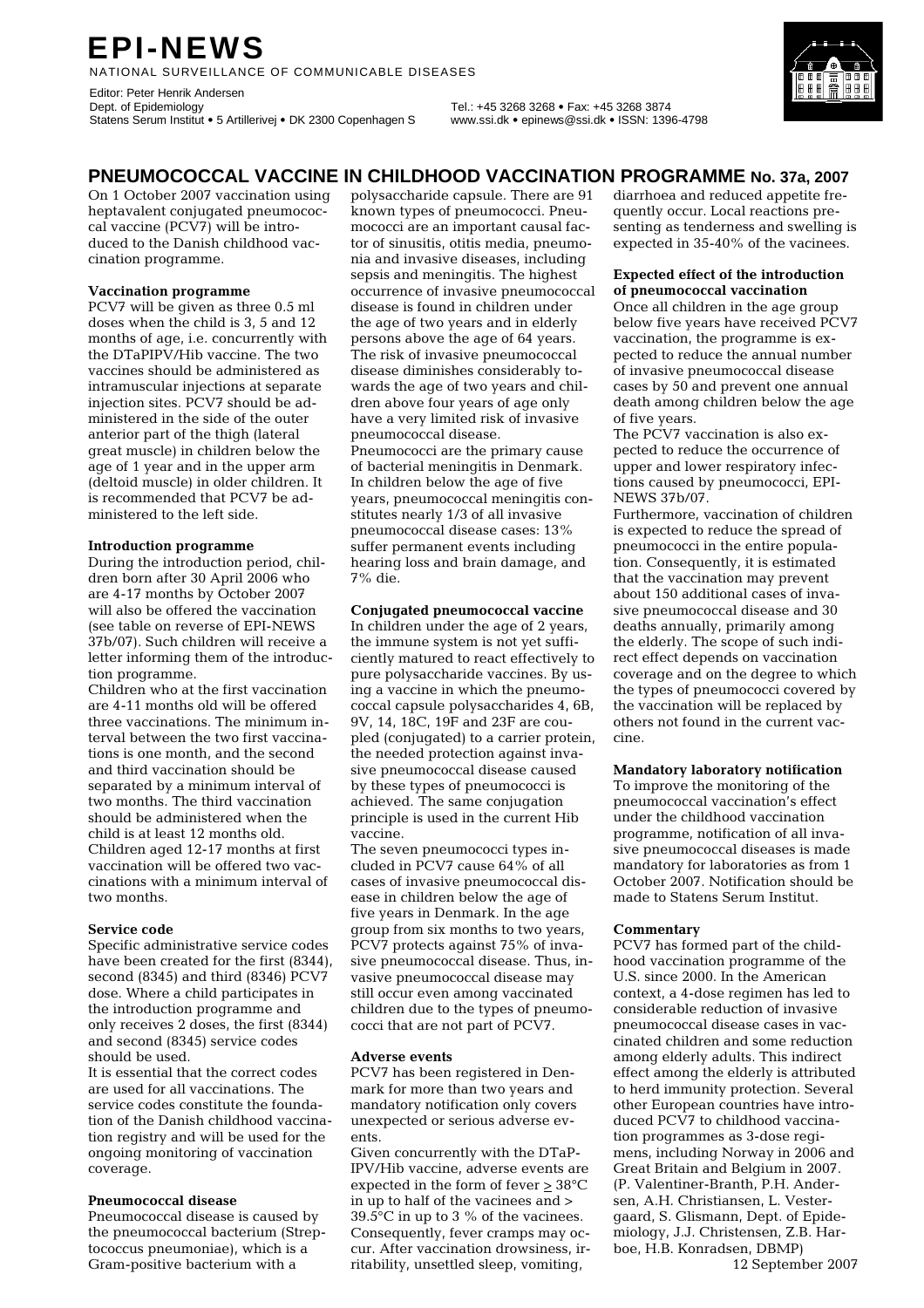# **EPI-NEWS**

NATIONAL SURVEILLANCE OF COMMUNICABLE DISEASES

Editor: Peter Henrik Andersen<br>Dept. of Epidemiology Statens Serum Institut • 5 Artillerivej • DK 2300 Copenhagen S www.ssi.dk • epinews@ssi.dk • ISSN: 1396-4798

Dept. of Epidemiology Tel.: +45 3268 3268 • Fax: +45 3268 3874

# **PNEUMOCOCCAL VACCINE IN CHILDHOOD VACCINATION PROGRAMME No. 37a, 2007**

On 1 October 2007 vaccination using heptavalent conjugated pneumococcal vaccine (PCV7) will be introduced to the Danish childhood vaccination programme.

#### **Vaccination programme**

PCV7 will be given as three 0.5 ml doses when the child is 3, 5 and 12 months of age, i.e. concurrently with the DTaPIPV/Hib vaccine. The two vaccines should be administered as intramuscular injections at separate injection sites. PCV7 should be administered in the side of the outer anterior part of the thigh (lateral great muscle) in children below the age of 1 year and in the upper arm (deltoid muscle) in older children. It is recommended that PCV7 be administered to the left side.

#### **Introduction programme**

During the introduction period, children born after 30 April 2006 who are 4-17 months by October 2007 will also be offered the vaccination (see table on reverse of EPI-NEWS 37b/07). Such children will receive a letter informing them of the introduction programme.

Children who at the first vaccination are 4-11 months old will be offered three vaccinations. The minimum interval between the two first vaccinations is one month, and the second and third vaccination should be separated by a minimum interval of two months. The third vaccination should be administered when the child is at least 12 months old. Children aged 12-17 months at first vaccination will be offered two vaccinations with a minimum interval of two months.

#### **Service code**

Specific administrative service codes have been created for the first (8344), second (8345) and third (8346) PCV7 dose. Where a child participates in the introduction programme and only receives 2 doses, the first (8344) and second (8345) service codes should be used.

It is essential that the correct codes are used for all vaccinations. The service codes constitute the foundation of the Danish childhood vaccination registry and will be used for the ongoing monitoring of vaccination coverage.

#### **Pneumococcal disease**

Pneumococcal disease is caused by the pneumococcal bacterium (Streptococcus pneumoniae), which is a Gram-positive bacterium with a

polysaccharide capsule. There are 91 known types of pneumococci. Pneumococci are an important causal factor of sinusitis, otitis media, pneumonia and invasive diseases, including sepsis and meningitis. The highest occurrence of invasive pneumococcal disease is found in children under the age of two years and in elderly persons above the age of 64 years. The risk of invasive pneumococcal disease diminishes considerably towards the age of two years and children above four years of age only have a very limited risk of invasive pneumococcal disease. Pneumococci are the primary cause of bacterial meningitis in Denmark. In children below the age of five years, pneumococcal meningitis constitutes nearly 1/3 of all invasive pneumococcal disease cases: 13% suffer permanent events including hearing loss and brain damage, and 7% die.

#### **Conjugated pneumococcal vaccine**

In children under the age of 2 years, the immune system is not yet sufficiently matured to react effectively to pure polysaccharide vaccines. By using a vaccine in which the pneumococcal capsule polysaccharides 4, 6B, 9V, 14, 18C, 19F and 23F are coupled (conjugated) to a carrier protein, the needed protection against invasive pneumococcal disease caused by these types of pneumococci is achieved. The same conjugation principle is used in the current Hib vaccine.

The seven pneumococci types included in PCV7 cause 64% of all cases of invasive pneumococcal disease in children below the age of five years in Denmark. In the age group from six months to two years, PCV7 protects against 75% of invasive pneumococcal disease. Thus, invasive pneumococcal disease may still occur even among vaccinated children due to the types of pneumococci that are not part of PCV7.

#### **Adverse events**

PCV7 has been registered in Denmark for more than two years and mandatory notification only covers unexpected or serious adverse events.

Given concurrently with the DTaP-IPV/Hib vaccine, adverse events are expected in the form of fever  $\geq 38^{\circ}C$ in up to half of the vacinees and >  $39.5^{\circ}$ C in up to 3 % of the vacinees. Consequently, fever cramps may occur. After vaccination drowsiness, irritability, unsettled sleep, vomiting,

diarrhoea and reduced appetite frequently occur. Local reactions presenting as tenderness and swelling is expected in 35-40% of the vacinees.

#### **Expected effect of the introduction of pneumococcal vaccination**

Once all children in the age group below five years have received PCV7 vaccination, the programme is expected to reduce the annual number of invasive pneumococcal disease cases by 50 and prevent one annual death among children below the age of five years.

The PCV7 vaccination is also expected to reduce the occurrence of upper and lower respiratory infections caused by pneumococci, EPI-NEWS 37b/07.

Furthermore, vaccination of children is expected to reduce the spread of pneumococci in the entire population. Consequently, it is estimated that the vaccination may prevent about 150 additional cases of invasive pneumococcal disease and 30 deaths annually, primarily among the elderly. The scope of such indirect effect depends on vaccination coverage and on the degree to which the types of pneumococci covered by the vaccination will be replaced by others not found in the current vaccine.

#### **Mandatory laboratory notification**

To improve the monitoring of the pneumococcal vaccination's effect under the childhood vaccination programme, notification of all invasive pneumococcal diseases is made mandatory for laboratories as from 1 October 2007. Notification should be made to Statens Serum Institut.

#### **Commentary**

PCV7 has formed part of the childhood vaccination programme of the U.S. since 2000. In the American context, a 4-dose regimen has led to considerable reduction of invasive pneumococcal disease cases in vaccinated children and some reduction among elderly adults. This indirect effect among the elderly is attributed to herd immunity protection. Several other European countries have introduced PCV7 to childhood vaccination programmes as 3-dose regimens, including Norway in 2006 and Great Britain and Belgium in 2007. (P. Valentiner-Branth, P.H. Andersen, A.H. Christiansen, L. Vestergaard, S. Glismann, Dept. of Epidemiology, J.J. Christensen, Z.B. Harboe, H.B. Konradsen, DBMP) 12 September 2007

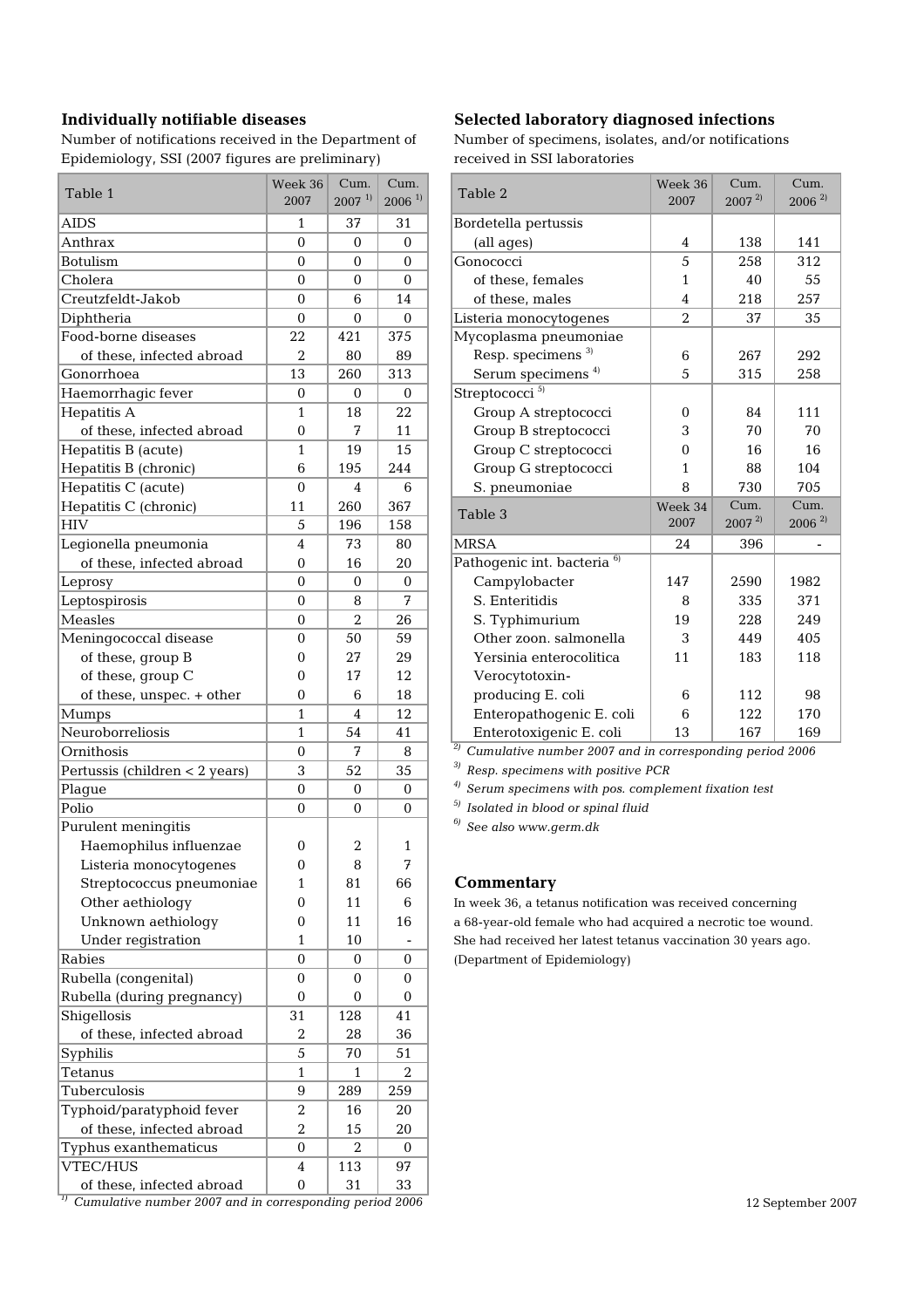Number of notifications received in the Department of Number of specimens, isolates, and/or notifications Epidemiology, SSI (2007 figures are preliminary) received in SSI laboratories

| Table 1                        | Week 36<br>2007  | Cum.<br>$2007^{11}$ | Cum.<br>$2006$ <sup>1)</sup> | Table 2                                   |
|--------------------------------|------------------|---------------------|------------------------------|-------------------------------------------|
| <b>AIDS</b>                    | $\mathbf{1}$     | 37                  | 31                           | Bordetella pertussis                      |
| Anthrax                        | $\mathbf{0}$     | $\Omega$            | 0                            | (all ages)                                |
| <b>Botulism</b>                | $\mathbf{0}$     | $\Omega$            | 0                            | Gonococci                                 |
| Cholera                        | $\overline{0}$   | $\Omega$            | $\Omega$                     | of these, females                         |
| Creutzfeldt-Jakob              | $\mathbf{0}$     | 6                   | 14                           | of these, males                           |
| Diphtheria                     | $\mathbf{0}$     | $\Omega$            | $\Omega$                     | Listeria monocytogenes                    |
| Food-borne diseases            | 22               | 421                 | 375                          | Mycoplasma pneumoniae                     |
| of these, infected abroad      | $\overline{2}$   | 80                  | 89                           | Resp. specimens <sup>3)</sup>             |
| Gonorrhoea                     | 13               | 260                 | 313                          | Serum specimens <sup>4)</sup>             |
| Haemorrhagic fever             | 0                | 0                   | 0                            | Streptococci <sup>5)</sup>                |
| Hepatitis A                    | 1                | 18                  | 22                           | Group A streptococci                      |
| of these, infected abroad      | 0                | 7                   | 11                           | Group B streptococci                      |
| Hepatitis B (acute)            | 1                | 19                  | 15                           | Group C streptococci                      |
| Hepatitis B (chronic)          | 6                | 195                 | 244                          | Group G streptococci                      |
| Hepatitis C (acute)            | $\mathbf{0}$     | 4                   | 6                            | S. pneumoniae                             |
| Hepatitis C (chronic)          | 11               | 260                 | 367                          |                                           |
| <b>HIV</b>                     | 5                | 196                 | 158                          | Table 3                                   |
| Legionella pneumonia           | 4                | 73                  | 80                           | <b>MRSA</b>                               |
| of these, infected abroad      | 0                | 16                  | 20                           | Pathogenic int. bacteria <sup>6)</sup>    |
| Leprosy                        | $\mathbf{0}$     | $\Omega$            | $\mathbf 0$                  | Campylobacter                             |
| Leptospirosis                  | 0                | 8                   | 7                            | S. Enteritidis                            |
| Measles                        | $\mathbf{0}$     | $\overline{2}$      | 26                           | S. Typhimurium                            |
| Meningococcal disease          | 0                | 50                  | 59                           | Other zoon. salmonella                    |
| of these, group B              | 0                | 27                  | 29                           | Yersinia enterocolitica                   |
| of these, group C              | 0                | 17                  | 12                           | Verocytotoxin-                            |
| of these, unspec. + other      | 0                | 6                   | 18                           | producing E. coli                         |
| Mumps                          | $\mathbf{1}$     | 4                   | 12                           | Enteropathogenic E. co                    |
| Neuroborreliosis               | $\mathbf{1}$     | 54                  | 41                           | Enterotoxigenic E. coli                   |
| Ornithosis                     | $\mathbf 0$      | 7                   | 8                            | $\frac{2}{2}$ Cumulative number 2007 a    |
| Pertussis (children < 2 years) | 3                | 52                  | 35                           | <sup>3)</sup> Resp. specimens with posit  |
| Plague                         | 0                | 0                   | 0                            | <sup>4)</sup> Serum specimens with pos    |
| Polio                          | $\mathbf{0}$     | $\mathbf 0$         | $\Omega$                     | <sup>5)</sup> Isolated in blood or spinal |
| Purulent meningitis            |                  |                     |                              | See also www.germ.dk                      |
| Haemophilus influenzae         | 0                | 2                   | 1                            |                                           |
| Listeria monocytogenes         | 0                | 8                   | 7                            |                                           |
| Streptococcus pneumoniae       | $\mathbf{1}$     | 81                  | 66                           | Commentary                                |
| Other aethiology               | $\boldsymbol{0}$ | 11                  | 6                            | In week 36, a tetanus notifica            |
| Unknown aethiology             | 0                | 11                  | 16                           | a 68-year-old female who had              |
| Under registration             | $\mathbf{1}$     | 10                  |                              | She had received her latest to            |
| Rabies                         | $\mathbf{0}$     | 0                   | $\mathbf 0$                  | (Department of Epidemiology               |
| Rubella (congenital)           | $\boldsymbol{0}$ | 0                   | 0                            |                                           |
| Rubella (during pregnancy)     | $\boldsymbol{0}$ | 0                   | 0                            |                                           |
| Shigellosis                    | 31               | 128                 | 41                           |                                           |
| of these, infected abroad      | $\overline{2}$   | 28                  | 36                           |                                           |
| Syphilis                       | 5                | 70                  | 51                           |                                           |
| Tetanus                        | $\mathbf{1}$     | $\mathbf{1}$        | 2                            |                                           |
| Tuberculosis                   | 9                | 289                 | 259                          |                                           |
| Typhoid/paratyphoid fever      | $\boldsymbol{2}$ | 16                  | 20                           |                                           |
| of these, infected abroad      | $\boldsymbol{2}$ | 15                  | 20                           |                                           |
| Typhus exanthematicus          | 0                | 2                   | 0                            |                                           |
| VTEC/HUS                       | 4                | 113                 | 97                           |                                           |
| of these, infected abroad      | $\boldsymbol{0}$ | 31                  | 33                           |                                           |
|                                |                  |                     |                              |                                           |

## Individually notifiable diseases Selected laboratory diagnosed infections

| Table 1                   | Week 36<br>2007  | Cum.<br>$2007^{11}$ | Cum.<br>$2006$ <sup>1)</sup> | Table 2                                | Week 36<br>2007 | Cum.<br>$2007^{2}$ | Cum.<br>$2006^{2}$   |
|---------------------------|------------------|---------------------|------------------------------|----------------------------------------|-----------------|--------------------|----------------------|
| <b>AIDS</b>               | $\mathbf{1}$     | 37                  | 31                           | Bordetella pertussis                   |                 |                    |                      |
| Anthrax                   | $\mathbf{0}$     | $\Omega$            | $\mathbf{0}$                 | (all ages)                             | 4               | 138                | 141                  |
| <b>Botulism</b>           | $\mathbf{0}$     | $\mathbf{0}$        | $\mathbf{0}$                 | Gonococci                              | 5               | 258                | 312                  |
| Cholera                   | $\mathbf{0}$     | $\mathbf 0$         | $\mathbf{0}$                 | of these, females                      | $\mathbf{1}$    | 40                 | 55                   |
| Creutzfeldt-Jakob         | $\mathbf{0}$     | 6                   | 14                           | of these, males                        | 4               | 218                | 257                  |
| Diphtheria                | $\mathbf{0}$     | $\mathbf{0}$        | $\Omega$                     | Listeria monocytogenes                 | $\overline{2}$  | 37                 | 35                   |
| Food-borne diseases       | 22               | 421                 | 375                          | Mycoplasma pneumoniae                  |                 |                    |                      |
| of these, infected abroad | $\overline{2}$   | 80                  | 89                           | Resp. specimens <sup>3)</sup>          | 6               | 267                | 292                  |
| Gonorrhoea                | 13               | 260                 | 313                          | Serum specimens <sup>4)</sup>          | 5               | 315                | 258                  |
| Haemorrhagic fever        | $\boldsymbol{0}$ | $\Omega$            | $\boldsymbol{0}$             | Streptococci <sup>5)</sup>             |                 |                    |                      |
| Hepatitis A               | 1                | 18                  | 22                           | Group A streptococci                   | $\Omega$        | 84                 | 111                  |
| of these, infected abroad | $\Omega$         | 7                   | 11                           | Group B streptococci                   | 3               | 70                 | 70                   |
| Hepatitis B (acute)       | 1                | 19                  | 15                           | Group C streptococci                   | $\Omega$        | 16                 | 16                   |
| Hepatitis B (chronic)     | 6                | 195                 | 244                          | Group G streptococci                   | 1               | 88                 | 104                  |
| Hepatitis C (acute)       | $\theta$         | 4                   | 6                            | S. pneumoniae                          | 8               | 730                | 705                  |
| Hepatitis C (chronic)     | 11               | 260                 | 367                          | Table 3                                | Week 34         | Cum.               | Cum.                 |
| HIV                       | 5                | 196                 | 158                          |                                        | 2007            | $2007^{2}$         | $2006$ <sup>2)</sup> |
| Legionella pneumonia      | $\overline{4}$   | 73                  | 80                           | <b>MRSA</b>                            | 24              | 396                |                      |
| of these, infected abroad | $\mathbf{0}$     | 16                  | 20                           | Pathogenic int. bacteria <sup>6)</sup> |                 |                    |                      |
| Leprosy                   | $\mathbf{0}$     | $\mathbf{0}$        | $\mathbf{0}$                 | Campylobacter                          | 147             | 2590               | 1982                 |
| Leptospirosis             | $\mathbf{0}$     | 8                   | 7                            | S. Enteritidis                         | 8               | 335                | 371                  |
| Measles                   | $\mathbf{0}$     | $\overline{2}$      | 26                           | S. Typhimurium                         | 19              | 228                | 249                  |
| Meningococcal disease     | $\Omega$         | 50                  | 59                           | Other zoon, salmonella                 | 3               | 449                | 405                  |
| of these, group B         | 0                | 27                  | 29                           | Yersinia enterocolitica                | 11              | 183                | 118                  |
| of these, group C         | $\Omega$         | 17                  | 12                           | Verocytotoxin-                         |                 |                    |                      |
| of these, unspec. + other | $\mathbf{0}$     | 6                   | 18                           | producing E. coli                      | 6               | 112                | 98                   |
| Mumps                     | $\mathbf{1}$     | 4                   | 12                           | Enteropathogenic E. coli               | 6               | 122                | 170                  |
| Neuroborreliosis          | 1                | 54                  | 41                           | Enterotoxigenic E. coli                | 13              | 167                | 169                  |
|                           |                  |                     |                              |                                        |                 |                    |                      |

<sup>2)</sup> Cumulative number 2007 and in corresponding period 2006

<sup>3)</sup> Resp. specimens with positive PCR

<sup>4)</sup> Serum specimens with pos. complement fixation test

<sup>5)</sup> Isolated in blood or spinal fluid

## Streptococcus pneumoniae 1 81 66 **Commentary**

In week 36, a tetanus notification was received concerning a 68-year-old female who had acquired a necrotic toe wound. She had received her latest tetanus vaccination 30 years ago. (Department of Epidemiology)

<sup>1)</sup> Cumulative number 2007 and in corresponding period 2006 12 September 2007 12 September 2007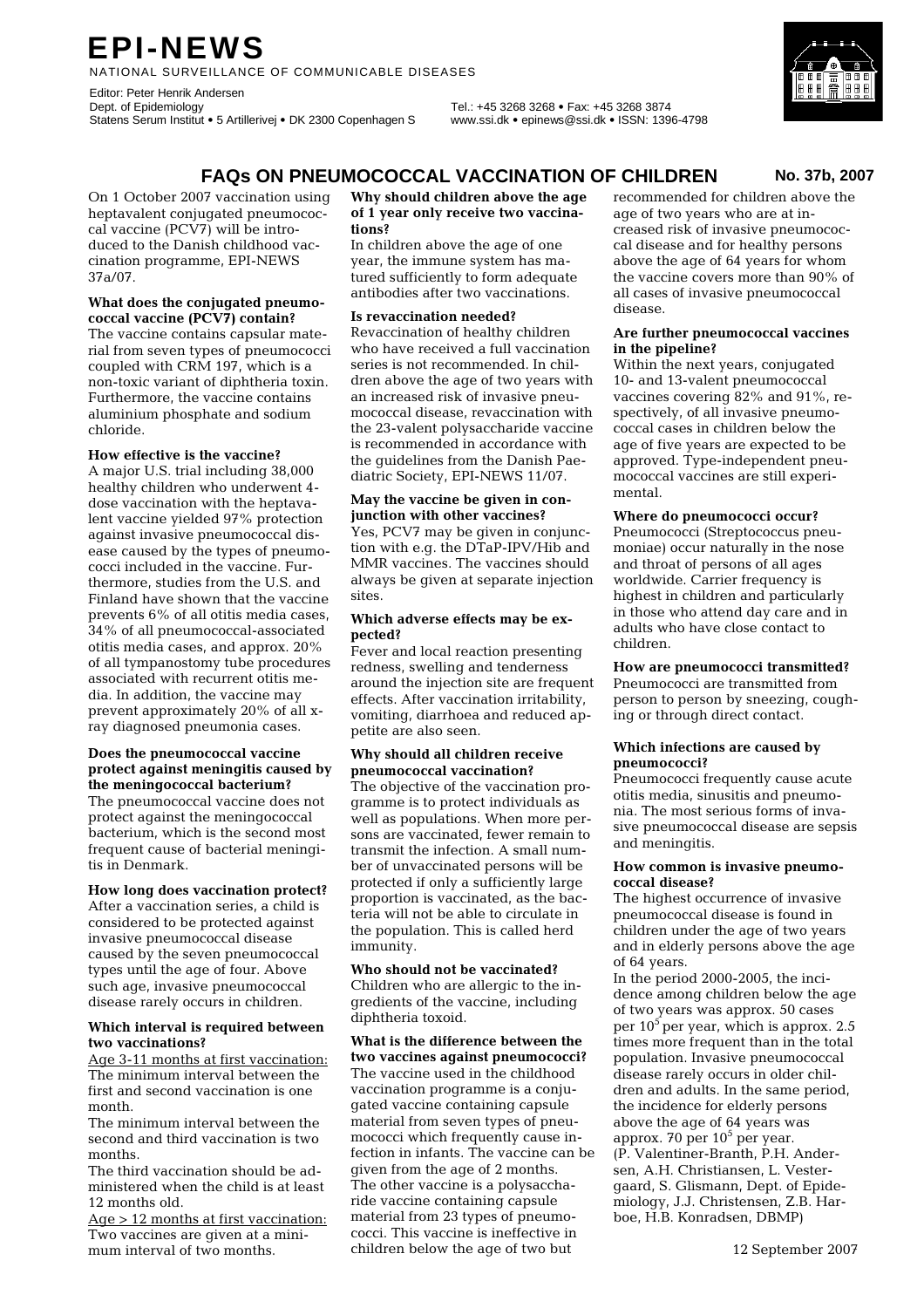# **EPI-NEWS**

NATIONAL SURVEILLANCE OF COMMUNICABLE DISEASES

Editor: Peter Henrik Andersen<br>Dept. of Epidemiology Statens Serum Institut • 5 Artillerivej • DK 2300 Copenhagen S www.ssi.dk • epinews@ssi.dk • ISSN: 1396-4798

Dept. of Epidemiology Tel.: +45 3268 3268 • Fax: +45 3268 3874

**FAQs ON PNEUMOCOCCAL VACCINATION OF CHILDREN No. 37b, 2007**

On 1 October 2007 vaccination using heptavalent conjugated pneumococcal vaccine (PCV7) will be introduced to the Danish childhood vaccination programme, EPI-NEWS 37a/07.

#### **What does the conjugated pneumococcal vaccine (PCV7) contain?**

The vaccine contains capsular material from seven types of pneumococci coupled with CRM 197, which is a non-toxic variant of diphtheria toxin. Furthermore, the vaccine contains aluminium phosphate and sodium chloride.

#### **How effective is the vaccine?**

A major U.S. trial including 38,000 healthy children who underwent 4 dose vaccination with the heptavalent vaccine yielded 97% protection against invasive pneumococcal disease caused by the types of pneumococci included in the vaccine. Furthermore, studies from the U.S. and Finland have shown that the vaccine prevents 6% of all otitis media cases, 34% of all pneumococcal-associated otitis media cases, and approx. 20% of all tympanostomy tube procedures associated with recurrent otitis media. In addition, the vaccine may prevent approximately 20% of all xray diagnosed pneumonia cases.

#### **Does the pneumococcal vaccine protect against meningitis caused by the meningococcal bacterium?**

The pneumococcal vaccine does not protect against the meningococcal bacterium, which is the second most frequent cause of bacterial meningitis in Denmark.

#### **How long does vaccination protect?**

After a vaccination series, a child is considered to be protected against invasive pneumococcal disease caused by the seven pneumococcal types until the age of four. Above such age, invasive pneumococcal disease rarely occurs in children.

#### **Which interval is required between two vaccinations?**

Age 3-11 months at first vaccination: The minimum interval between the first and second vaccination is one month.

The minimum interval between the second and third vaccination is two months.

The third vaccination should be administered when the child is at least 12 months old.

Age > 12 months at first vaccination: Two vaccines are given at a minimum interval of two months.

#### **Why should children above the age of 1 year only receive two vaccinations?**

In children above the age of one year, the immune system has matured sufficiently to form adequate antibodies after two vaccinations.

#### **Is revaccination needed?**

Revaccination of healthy children who have received a full vaccination series is not recommended. In children above the age of two years with an increased risk of invasive pneumococcal disease, revaccination with the 23-valent polysaccharide vaccine is recommended in accordance with the guidelines from the Danish Paediatric Society, EPI-NEWS 11/07.

### **May the vaccine be given in conjunction with other vaccines?**

Yes, PCV7 may be given in conjunction with e.g. the DTaP-IPV/Hib and MMR vaccines. The vaccines should always be given at separate injection sites.

#### **Which adverse effects may be expected?**

Fever and local reaction presenting redness, swelling and tenderness around the injection site are frequent effects. After vaccination irritability, vomiting, diarrhoea and reduced appetite are also seen.

#### **Why should all children receive pneumococcal vaccination?**

The objective of the vaccination programme is to protect individuals as well as populations. When more persons are vaccinated, fewer remain to transmit the infection. A small number of unvaccinated persons will be protected if only a sufficiently large proportion is vaccinated, as the bacteria will not be able to circulate in the population. This is called herd immunity.

**Who should not be vaccinated?**  Children who are allergic to the ingredients of the vaccine, including diphtheria toxoid.

**What is the difference between the two vaccines against pneumococci?**  The vaccine used in the childhood vaccination programme is a conjugated vaccine containing capsule material from seven types of pneumococci which frequently cause infection in infants. The vaccine can be given from the age of 2 months. The other vaccine is a polysaccharide vaccine containing capsule material from 23 types of pneumococci. This vaccine is ineffective in children below the age of two but

recommended for children above the age of two years who are at increased risk of invasive pneumococcal disease and for healthy persons above the age of 64 years for whom the vaccine covers more than 90% of all cases of invasive pneumococcal disease.

#### **Are further pneumococcal vaccines in the pipeline?**

Within the next years, conjugated 10- and 13-valent pneumococcal vaccines covering 82% and 91%, respectively, of all invasive pneumococcal cases in children below the age of five years are expected to be approved. Type-independent pneumococcal vaccines are still experimental.

#### **Where do pneumococci occur?**

Pneumococci (Streptococcus pneumoniae) occur naturally in the nose and throat of persons of all ages worldwide. Carrier frequency is highest in children and particularly in those who attend day care and in adults who have close contact to children.

#### **How are pneumococci transmitted?**  Pneumococci are transmitted from person to person by sneezing, coughing or through direct contact.

#### **Which infections are caused by pneumococci?**

Pneumococci frequently cause acute otitis media, sinusitis and pneumonia. The most serious forms of invasive pneumococcal disease are sepsis and meningitis.

#### **How common is invasive pneumococcal disease?**

The highest occurrence of invasive pneumococcal disease is found in children under the age of two years and in elderly persons above the age of 64 years.

In the period 2000-2005, the incidence among children below the age of two years was approx. 50 cases per  $10<sup>5</sup>$  per year, which is approx. 2.5 times more frequent than in the total population. Invasive pneumococcal disease rarely occurs in older children and adults. In the same period, the incidence for elderly persons above the age of 64 years was approx. 70 per  $10<sup>5</sup>$  per year. (P. Valentiner-Branth, P.H. Andersen, A.H. Christiansen, L. Vestergaard, S. Glismann, Dept. of Epidemiology, J.J. Christensen, Z.B. Harboe, H.B. Konradsen, DBMP)